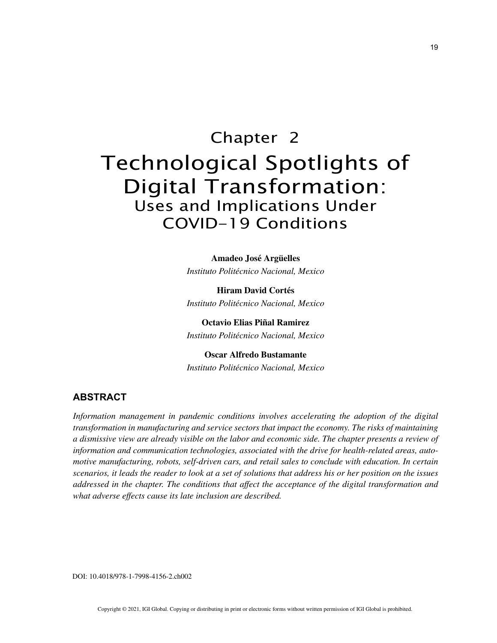# Chapter 2 Technological Spotlights of Digital Transformation: Uses and Implications Under COVID-19 Conditions

**Amadeo José Argüelles** *Instituto Politécnico Nacional, Mexico*

**Hiram David Cortés** *Instituto Politécnico Nacional, Mexico*

**Octavio Elias Piñal Ramirez** *Instituto Politécnico Nacional, Mexico*

**Oscar Alfredo Bustamante** *Instituto Politécnico Nacional, Mexico*

# **ABSTRACT**

*Information management in pandemic conditions involves accelerating the adoption of the digital transformation in manufacturing and service sectors that impact the economy. The risks of maintaining a dismissive view are already visible on the labor and economic side. The chapter presents a review of information and communication technologies, associated with the drive for health-related areas, automotive manufacturing, robots, self-driven cars, and retail sales to conclude with education. In certain scenarios, it leads the reader to look at a set of solutions that address his or her position on the issues addressed in the chapter. The conditions that affect the acceptance of the digital transformation and what adverse effects cause its late inclusion are described.*

DOI: 10.4018/978-1-7998-4156-2.ch002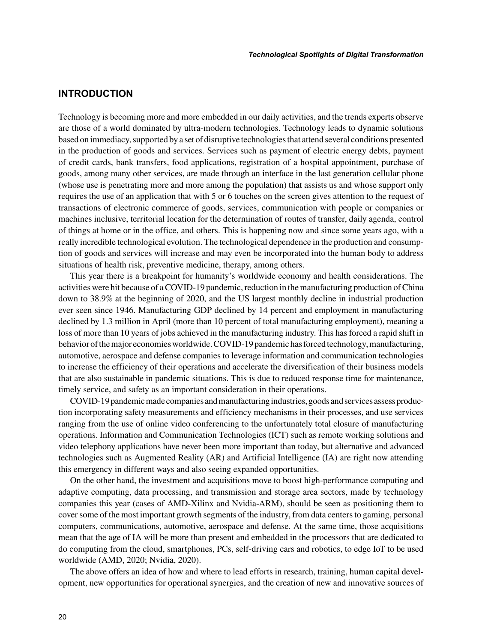### **INTRODUCTION**

Technology is becoming more and more embedded in our daily activities, and the trends experts observe are those of a world dominated by ultra-modern technologies. Technology leads to dynamic solutions based on immediacy, supported by a set of disruptive technologies that attend several conditions presented in the production of goods and services. Services such as payment of electric energy debts, payment of credit cards, bank transfers, food applications, registration of a hospital appointment, purchase of goods, among many other services, are made through an interface in the last generation cellular phone (whose use is penetrating more and more among the population) that assists us and whose support only requires the use of an application that with 5 or 6 touches on the screen gives attention to the request of transactions of electronic commerce of goods, services, communication with people or companies or machines inclusive, territorial location for the determination of routes of transfer, daily agenda, control of things at home or in the office, and others. This is happening now and since some years ago, with a really incredible technological evolution. The technological dependence in the production and consumption of goods and services will increase and may even be incorporated into the human body to address situations of health risk, preventive medicine, therapy, among others.

This year there is a breakpoint for humanity's worldwide economy and health considerations. The activities were hit because of a COVID-19 pandemic, reduction in the manufacturing production of China down to 38.9% at the beginning of 2020, and the US largest monthly decline in industrial production ever seen since 1946. Manufacturing GDP declined by 14 percent and employment in manufacturing declined by 1.3 million in April (more than 10 percent of total manufacturing employment), meaning a loss of more than 10 years of jobs achieved in the manufacturing industry. This has forced a rapid shift in behavior of the major economies worldwide. COVID-19 pandemic has forced technology, manufacturing, automotive, aerospace and defense companies to leverage information and communication technologies to increase the efficiency of their operations and accelerate the diversification of their business models that are also sustainable in pandemic situations. This is due to reduced response time for maintenance, timely service, and safety as an important consideration in their operations.

COVID-19 pandemic made companies and manufacturing industries, goods and services assess production incorporating safety measurements and efficiency mechanisms in their processes, and use services ranging from the use of online video conferencing to the unfortunately total closure of manufacturing operations. Information and Communication Technologies (ICT) such as remote working solutions and video telephony applications have never been more important than today, but alternative and advanced technologies such as Augmented Reality (AR) and Artificial Intelligence (IA) are right now attending this emergency in different ways and also seeing expanded opportunities.

On the other hand, the investment and acquisitions move to boost high-performance computing and adaptive computing, data processing, and transmission and storage area sectors, made by technology companies this year (cases of AMD-Xilinx and Nvidia-ARM), should be seen as positioning them to cover some of the most important growth segments of the industry, from data centers to gaming, personal computers, communications, automotive, aerospace and defense. At the same time, those acquisitions mean that the age of IA will be more than present and embedded in the processors that are dedicated to do computing from the cloud, smartphones, PCs, self-driving cars and robotics, to edge IoT to be used worldwide (AMD, 2020; Nvidia, 2020).

The above offers an idea of how and where to lead efforts in research, training, human capital development, new opportunities for operational synergies, and the creation of new and innovative sources of